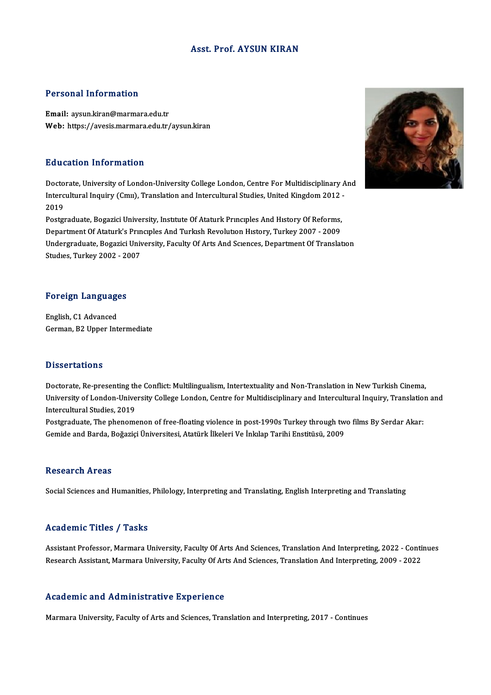## Asst. Prof. AYSUN KIRAN

## Personal Information

Email: aysun.kiran@marmara.edu.tr Web: https://avesis.marmara.edu.tr/aysun.kiran

## Education Information

Doctorate, University of London-University College London, Centre For Multidisciplinary And Intercultural Internation<br>Doctorate, University of London-University College London, Centre For Multidisciplinary A<br>Intercultural Inquiry (Cmıı), Translation and Intercultural Studies, United Kingdom 2012 -Docto<br>Interc<br>2019<br>Postar Intercultural Inquiry (Cmu), Translation and Intercultural Studies, United Kingdom 2012<br>2019<br>Postgraduate, Bogazici University, Institute Of Ataturk Principles And History Of Reforms,<br>Department Of Ataturk's Principles And

2019<br>Postgraduate, Bogazici University, Institute Of Ataturk Principles And History Of Reforms,<br>Department Of Ataturk's Principles And Turkish Revolution History, Turkey 2007 - 2009 Postgraduate, Bogazici University, Institute Of Ataturk Principles And History Of Reforms,<br>Department Of Ataturk's Principles And Turkish Revolution History, Turkey 2007 - 2009<br>Undergraduate, Bogazici University, Faculty O Department Of Ataturk's Prın<br>Undergraduate, Bogazici Univ<br>Studıes, Turkey 2002 - 2007

# Foreign Languages

Foreign Language<br>English, C1 Advanced<br>Corman B2 Unnon Int English, C1 Advanced<br>German, B2 Upper Intermediate

### **Dissertations**

Doctorate, Re-presenting the Conflict: Multilingualism, Intertextuality and Non-Translation in New Turkish Cinema, Disbot catrons<br>Doctorate, Re-presenting the Conflict: Multilingualism, Intertextuality and Non-Translation in New Turkish Cinema,<br>University of London-University College London, Centre for Multidisciplinary and Intercultur Doctorate, Re-presenting th<br>University of London-Unive<br>Intercultural Studies, 2019<br>Postanaduate The phenome University of London-University College London, Centre for Multidisciplinary and Intercultural Inquiry, Translation<br>Intercultural Studies, 2019<br>Postgraduate, The phenomenon of free-floating violence in post-1990s Turkey th

Intercultural Studies, 2019<br>Postgraduate, The phenomenon of free-floating violence in post-1990s Turkey through tw<br>Gemide and Barda, Boğaziçi Üniversitesi, Atatürk İlkeleri Ve İnkılap Tarihi Enstitüsü, 2009 Gemide and Barda, Boğaziçi Üniversitesi, Atatürk İlkeleri Ve İnkılap Tarihi Enstitüsü, 2009<br>Research Areas

Social Sciences and Humanities, Philology, Interpreting and Translating, English Interpreting and Translating

### Academic Titles / Tasks

Academic Titles / Tasks<br>Assistant Professor, Marmara University, Faculty Of Arts And Sciences, Translation And Interpreting, 2022 - Continues<br>Research Assistant Marmara University, Faculty Of Arts And Sciences, Translation recudentre Treres 7 Tubris<br>Assistant Professor, Marmara University, Faculty Of Arts And Sciences, Translation And Interpreting, 2022 - Conti<br>Research Assistant, Marmara University, Faculty Of Arts And Sciences, Translation Research Assistant, Marmara University, Faculty Of Arts And Sciences, Translation And Interpreting, 2009 - 2022<br>Academic and Administrative Experience

Marmara University, Faculty of Arts and Sciences, Translation and Interpreting, 2017 - Continues

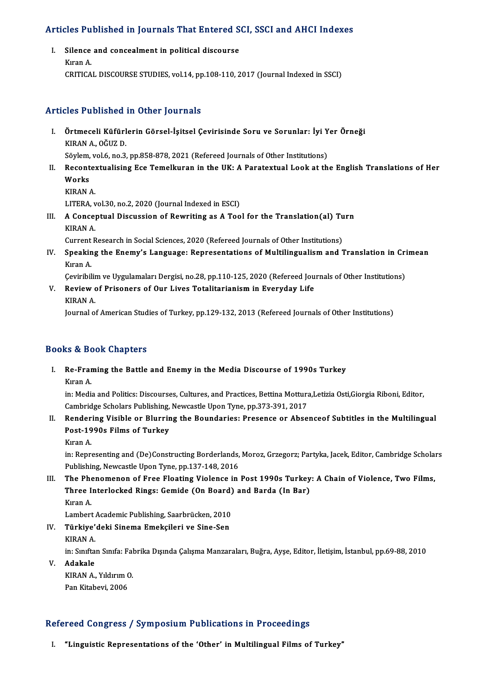# Articles Published in Journals That Entered SCI, SSCI and AHCI Indexes

rticles Published in Journals That Entered S<br>I. Silence and concealment in political discourse I. Silence and concealment in political discourse<br>Kıran A. CRITICAL DISCOURSE STUDIES, vol.14, pp.108-110, 2017 (Journal Indexed in SSCI)

## Articles Published in Other Journals

- rticles Published in Other Journals<br>I. Örtmeceli Küfürlerin Görsel-İşitsel Çevirisinde Soru ve Sorunlar: İyi Yer Örneği<br>KIRAN A. QĞUZ D STED 1 MARIDINEN<br>Örtmeceli Küfürl<br>KIRAN A., OĞUZ D.<br>Sävlam val f. na ? Örtmeceli Küfürlerin Görsel-İşitsel Çevirisinde Soru ve Sorunlar: İyi Y<br>KIRAN A., OĞUZ D.<br>Söylem, vol.6, no.3, pp.858-878, 2021 (Refereed Journals of Other Institutions)<br>Recontextualising Ece Temellyunan in the UK: A Bonat
- KIRAN A., OĞUZ D.<br>Söylem, vol.6, no.3, pp.858-878, 2021 (Refereed Journals of Other Institutions)<br>II. Recontextualising Ece Temelkuran in the UK: A Paratextual Look at the English Translations of Her<br>Works Söylem, vol.6, no.3, pp.858-878, 2021 (Refereed Journals of Other Institutions)<br>Recontextualising Ece Temelkuran in the UK: A Paratextual Look at th<br>Works<br>KIRAN A. Reconte<mark>:</mark><br>Works<br>KIRAN A. Works<br>KIRAN A.<br>LITERA, vol.30, no.2, 2020 (Journal Indexed in ESCI)<br>A Concentual Discussion of Bourniting as A Too
	-

KIRAN A.<br>LITERA, vol.30, no.2, 2020 (Journal Indexed in ESCI)<br>III. A Conceptual Discussion of Rewriting as A Tool for the Translation(al) Turn<br>KIRAN A LITERA, v<br>A Conce<sub>l</sub><br>KIRAN A.<br>Current B A Conceptual Discussion of Rewriting as A Tool for the Translation(al) Tu<br>KIRAN A.<br>Current Research in Social Sciences, 2020 (Refereed Journals of Other Institutions)<br>Speaking the Enemy's Language: Benresentations of Multi

KIRAN A.<br>Current Research in Social Sciences, 2020 (Refereed Journals of Other Institutions)<br>IV. Speaking the Enemy's Language: Representations of Multilingualism and Translation in Crimean<br>Kuran A Current Research in Social Sciences, 2020 (Refereed Journals of Other Institutions)<br>Speaking the Enemy's Language: Representations of Multilingualism and '<br>Kıran A. Speaking the Enemy's Language: Representations of Multilingualism and Translation in Cri<br>Kıran A.<br>Çeviribilim ve Uygulamaları Dergisi, no.28, pp.110-125, 2020 (Refereed Journals of Other Institutions)<br>Poview of Prisonars o

Ceviribilim ve Uygulamaları Dergisi, no.28, pp.110-125, 2020 (Refereed Journals of Other Institutions)

V. Review of Prisoners of Our Lives Totalitarianism in Everyday Life<br>KIRAN A.

Journal of American Studies of Turkey, pp.129-132, 2013 (Refereed Journals of Other Institutions)

## Books&Book Chapters

ooks & Book Chapters<br>I. Re-Framing the Battle and Enemy in the Media Discourse of 1990s Turkey<br>Kuan A ks & Be<br>Re-Fran<br>Kıran A.

Kıran A.<br>in: Media and Politics: Discourses, Cultures, and Practices, Bettina Mottura,Letizia Osti,Giorgia Riboni, Editor, Kıran A.<br>in: Media and Politics: Discourses, Cultures, and Practices, Bettina Mottura<br>Cambridge Scholars Publishing, Newcastle Upon Tyne, pp.373-391, 2017<br>Bendering Visible on Plunning the Beunderies: Presence on Aboe in: Media and Politics: Discourses, Cultures, and Practices, Bettina Mottura,Letizia Osti,Giorgia Riboni, Editor,<br>Cambridge Scholars Publishing, Newcastle Upon Tyne, pp.373-391, 2017<br>II. Rendering Visible or Blurring the B

- Cambridge Scholars Publishing,<br>Rendering Visible or Blurrin<br>Post-1990s Films of Turkey<br>Kuran A Render<br>Post-19<br>Kıran A.
	-

Post-1990s Films of Turkey<br>Kıran A.<br>in: Representing and (De)Constructing Borderlands, Moroz, Grzegorz; Partyka, Jacek, Editor, Cambridge Scholars<br>Publishing Novgastle Upon Tyne, np.137,149,2016 Kıran A.<br>in: Representing and (De)Constructing Borderlands,<br>Publishing, Newcastle Upon Tyne, pp.137-148, 2016<br>The Phenomenon of Free Electing Vielence in

Publishing, Newcastle Upon Tyne, pp.137-148, 2016<br>III. The Phenomenon of Free Floating Violence in Post 1990s Turkey: A Chain of Violence, Two Films, Publishing, Newcastle Upon Tyne, pp.137-148, 2016<br>The Phenomenon of Free Floating Violence in Post 1990s Turkey<br>Three Interlocked Rings: Gemide (On Board) and Barda (In Bar)<br><sup>Kuson A</sup> The Phe<br>Three I<br>Kıran A. Three Interlocked Rings: Gemide (On Board)<br>Kıran A.<br>Lambert Academic Publishing, Saarbrücken, 2010<br>Türkiye'deki Sineme Emeksileri ve Sine Sen

Kıran A.<br>Lambert Academic Publishing, Saarbrücken, 2010<br>IV. Türkiye'deki Sinema Emekçileri ve Sine-Sen<br>KIRAN A Lambert<br>**Türkiye'**<br>KIRAN A.<br>in Surfta

Türkiye'deki Sinema Emekçileri ve Sine-Sen<br>KIRAN A.<br>in: Sınıftan Sınıfa: Fabrika Dışında Çalışma Manzaraları, Buğra, Ayşe, Editor, İletişim, İstanbul, pp.69-88, 2010

KIRAN A.<br>in: Sınıfta<br>V. **Adakale** in: Sınıftan Sınıfa: Fal<br>**Adakale**<br>KIRAN A., Yıldırım O.<br>Pan *Vitabari, 2006* KIRAN A., Yıldırım O.<br>Pan Kitabevi, 2006

## Refereed Congress / Symposium Publications in Proceedings

I. "Linguistic Representations of the 'Other' in Multilingual Films of Turkey"